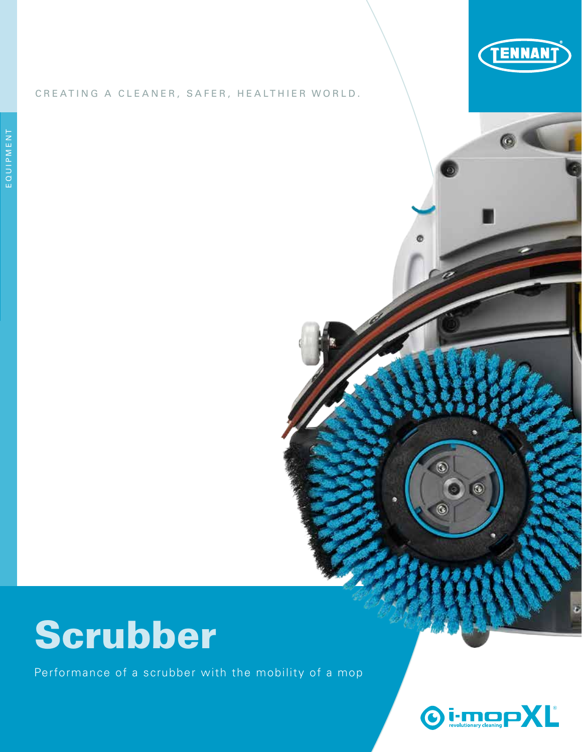

#### CREATING A CLEANER, SAFER, HEALTHIER WORLD.

# Scrubber

Performance of a scrubber with the mobility of a mop



 $\circledcirc$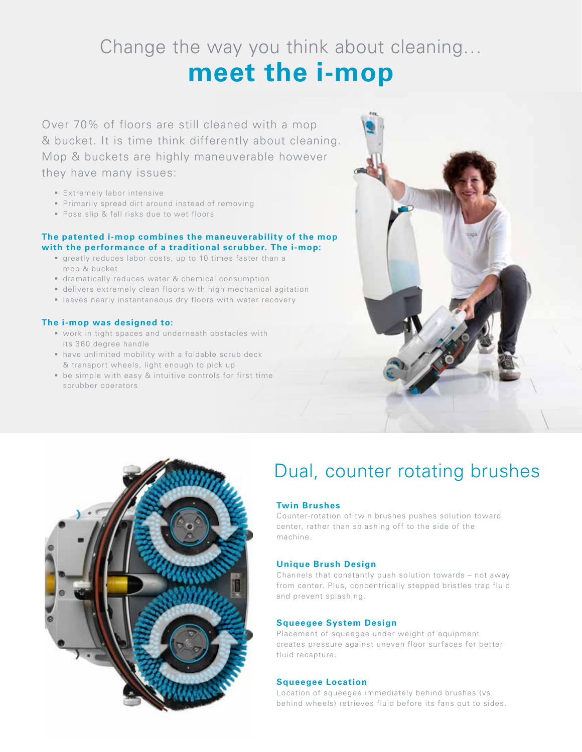Change the way you think about cleaning…

## **meet the i-mop**

Over 70% of floors are still cleaned with a mop & bucket. It is time think differently about cleaning. Mop & buckets are highly maneuverable however they have many issues:

- **Extremely labor intensive**
- **Primarily spread dirt around instead of removing**
- Pose slip & fall risks due to wet floors

#### **The patented i-mop combines the maneuverability of the mop with the performance of a traditional scrubber. The i-mop:**

- greatly reduces labor costs, up to 10 times faster than a mop & bucket
- dramatically reduces water & chemical consumption
- delivers extremely clean floors with high mechanical agitation
- leaves nearly instantaneous dry floors with water recovery

#### **The i-mop was designed to:**

- work in tight spaces and underneath obstacles with its 360 degree handle
- have unlimited mobility with a foldable scrub deck & transport wheels, light enough to pick up
- be simple with easy & intuitive controls for first time scrubber operators





### Dual, counter rotating brushes

#### **Twin Brushes**

Counter-rotation of twin brushes pushes solution toward center, rather than splashing off to the side of the machine.

#### **Unique Brush Design**

Channels that constantly push solution towards – not away from center. Plus, concentrically stepped bristles trap fluid and prevent splashing.

#### **Squeegee System Design**

Placement of squeegee under weight of equipment creates pressure against uneven floor surfaces for better fluid recapture.

#### **Squeegee Location**

Location of squeegee immediately behind brushes (vs. behind wheels) retrieves fluid before its fans out to sides.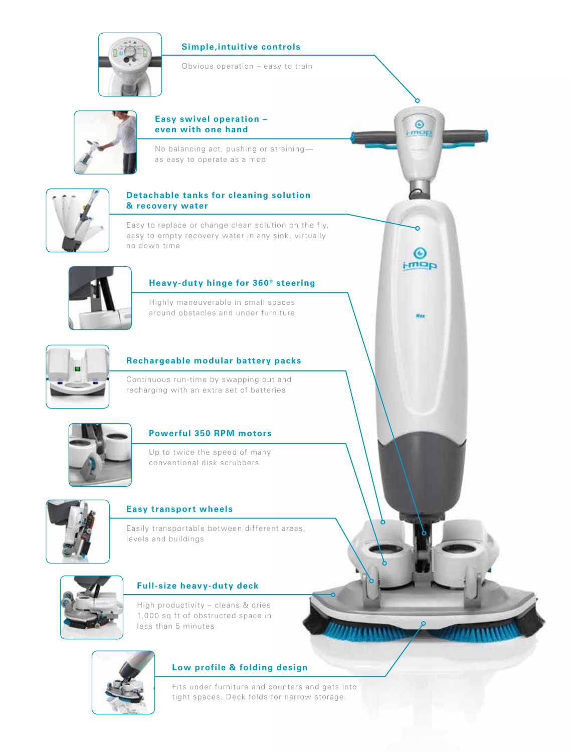#### **Simple,intuitive controls**



Obvious operation – easy to train

 $\odot$ more

◎  $a$ cm



#### **Easy swivel operation – even with one hand**

No balancing act, pushing or straining as easy to operate as a mop



#### **Detachable tanks for cleaning solution & recovery water**

Easy to replace or change clean solution on the fly, easy to empty recovery water in any sink, virtually no down time



#### **Heavy-duty hinge for 360º steering**

Highly maneuverable in small spaces around obstacles and under furniture



#### **Rechargeable modular battery packs**

Continuous run-time by swapping out and recharging with an extra set of batteries



#### **Powerful 350 RPM motors**

Up to twice the speed of many conventional disk scrubbers



#### **Easy transport wheels**

Easily transportable between different areas, levels and buildings



#### **Full-size heavy-duty deck**

High productivity – cleans & dries 1,000 sq ft of obstructed space in less than 5 minutes



#### **Low profile & folding design**

Fits under furniture and counters and gets into tight spaces. Deck folds for narrow storage.